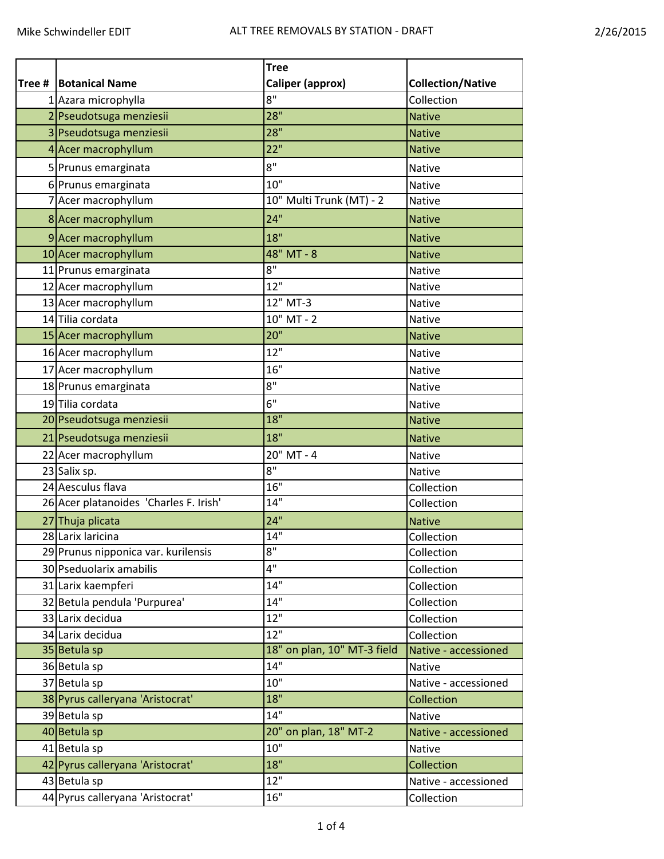|        |                                        | <b>Tree</b>                 |                          |
|--------|----------------------------------------|-----------------------------|--------------------------|
| Tree # | <b>Botanical Name</b>                  | Caliper (approx)            | <b>Collection/Native</b> |
|        | 1 Azara microphylla                    | 8"                          | Collection               |
|        | 2 Pseudotsuga menziesii                | 28"                         | <b>Native</b>            |
|        | 3 Pseudotsuga menziesii                | 28"                         | <b>Native</b>            |
|        | 4 Acer macrophyllum                    | 22"                         | <b>Native</b>            |
|        | 5 Prunus emarginata                    | 8"                          | <b>Native</b>            |
|        | 6 Prunus emarginata                    | 10"                         | Native                   |
|        | 7 Acer macrophyllum                    | 10" Multi Trunk (MT) - 2    | Native                   |
|        | 8 Acer macrophyllum                    | 24"                         | <b>Native</b>            |
|        | 9 Acer macrophyllum                    | 18"                         | <b>Native</b>            |
|        | 10 Acer macrophyllum                   | $48"$ MT - $8$              | <b>Native</b>            |
|        | 11 Prunus emarginata                   | 8"                          | Native                   |
|        | 12 Acer macrophyllum                   | 12"                         | <b>Native</b>            |
|        | 13 Acer macrophyllum                   | 12" MT-3                    | Native                   |
|        | 14 Tilia cordata                       | $10"$ MT - 2                | <b>Native</b>            |
|        | 15 Acer macrophyllum                   | 20"                         | <b>Native</b>            |
|        | 16 Acer macrophyllum                   | 12"                         | Native                   |
|        | 17 Acer macrophyllum                   | 16"                         | Native                   |
|        | 18 Prunus emarginata                   | 8"                          | Native                   |
|        | 19Tilia cordata                        | 6"                          | Native                   |
|        | 20 Pseudotsuga menziesii               | 18"                         | <b>Native</b>            |
|        | 21 Pseudotsuga menziesii               | 18"                         | <b>Native</b>            |
|        | 22 Acer macrophyllum                   | 20" MT - 4                  | Native                   |
|        | 23 Salix sp.                           | 8"                          | Native                   |
|        | 24 Aesculus flava                      | 16"                         | Collection               |
|        | 26 Acer platanoides 'Charles F. Irish' | 14"                         | Collection               |
|        | 27 Thuja plicata                       | 24"                         | <b>Native</b>            |
|        | 28 Larix laricina                      | 14"                         | Collection               |
|        | 29 Prunus nipponica var. kurilensis    | 8"                          | Collection               |
|        | 30 Pseduolarix amabilis                | 4"                          | Collection               |
|        | 31 Larix kaempferi                     | 14"                         | Collection               |
|        | 32 Betula pendula 'Purpurea'           | 14"                         | Collection               |
|        | 33 Larix decidua                       | 12"                         | Collection               |
|        | 34 Larix decidua                       | 12"                         | Collection               |
|        | 35 Betula sp                           | 18" on plan, 10" MT-3 field | Native - accessioned     |
|        | 36 Betula sp                           | 14"                         | Native                   |
|        | 37 Betula sp                           | 10"                         | Native - accessioned     |
|        | 38 Pyrus calleryana 'Aristocrat'       | 18"                         | Collection               |
|        | 39 Betula sp                           | 14"                         | <b>Native</b>            |
|        | 40 Betula sp                           | 20" on plan, 18" MT-2       | Native - accessioned     |
|        | 41 Betula sp                           | 10"                         | <b>Native</b>            |
|        | 42 Pyrus calleryana 'Aristocrat'       | 18"                         | Collection               |
|        | 43 Betula sp                           | 12"                         | Native - accessioned     |
|        | 44 Pyrus calleryana 'Aristocrat'       | 16"                         | Collection               |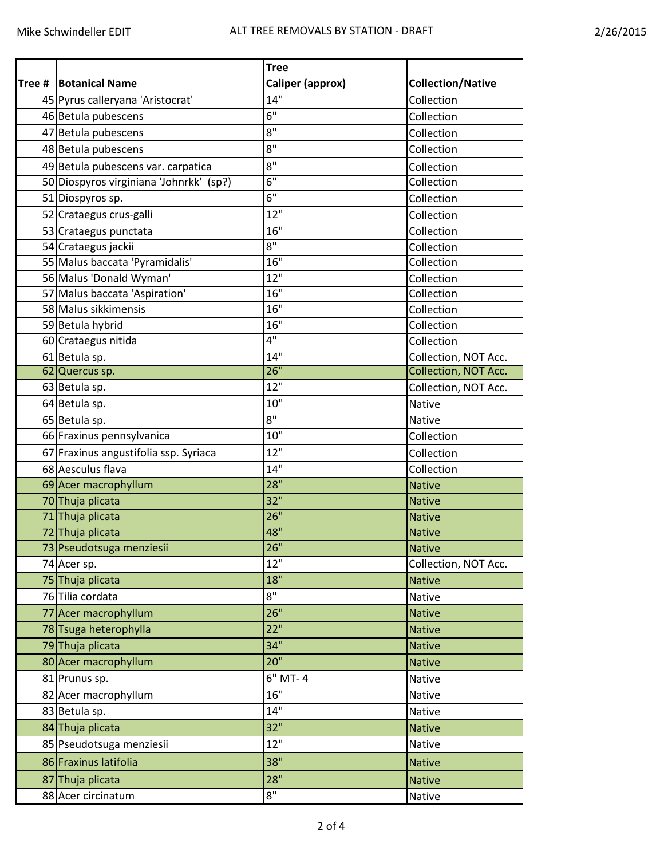|        |                                         | <b>Tree</b>        |                          |
|--------|-----------------------------------------|--------------------|--------------------------|
| Tree # | <b>Botanical Name</b>                   | Caliper (approx)   | <b>Collection/Native</b> |
|        | 45 Pyrus calleryana 'Aristocrat'        | 14"                | Collection               |
|        | 46 Betula pubescens                     | 6"                 | Collection               |
|        | 47 Betula pubescens                     | 8"                 | Collection               |
|        | 48 Betula pubescens                     | 8"                 | Collection               |
|        | 49 Betula pubescens var. carpatica      | 8"                 | Collection               |
|        | 50 Diospyros virginiana 'Johnrkk' (sp?) | 6"                 | Collection               |
|        | 51 Diospyros sp.                        | 6"                 | Collection               |
|        | 52 Crataegus crus-galli                 | 12"                | Collection               |
|        | 53 Crataegus punctata                   | 16"                | Collection               |
|        | 54 Crataegus jackii                     | 8"                 | Collection               |
|        | 55 Malus baccata 'Pyramidalis'          | 16"                | Collection               |
|        | 56 Malus 'Donald Wyman'                 | 12"                | Collection               |
|        | 57 Malus baccata 'Aspiration'           | 16"                | Collection               |
|        | 58 Malus sikkimensis                    | 16"                | Collection               |
|        | 59 Betula hybrid                        | 16"                | Collection               |
|        | 60 Crataegus nitida                     | 4"                 | Collection               |
|        | 61 Betula sp.                           | 14"                | Collection, NOT Acc.     |
|        | 62 Quercus sp.                          | 26"                | Collection, NOT Acc.     |
|        | 63 Betula sp.                           | 12"                | Collection, NOT Acc.     |
|        | 64 Betula sp.                           | 10"                | <b>Native</b>            |
|        | 65 Betula sp.                           | $8^{\circ}$        | Native                   |
|        | 66 Fraxinus pennsylvanica               | $10$ "             | Collection               |
|        | 67 Fraxinus angustifolia ssp. Syriaca   | 12"                | Collection               |
|        | 68 Aesculus flava                       | 14"                | Collection               |
|        | 69 Acer macrophyllum                    | 28"                | <b>Native</b>            |
|        | 70Thuja plicata                         | 32"                | <b>Native</b>            |
|        | 71 Thuja plicata                        | 26"                | <b>Native</b>            |
|        | 72 Thuja plicata                        | 48"                | <b>Native</b>            |
|        | 73 Pseudotsuga menziesii                | 26"                | Native                   |
|        | 74 Acer sp.                             | 12"                | Collection, NOT Acc.     |
|        | 75 Thuja plicata                        | 18"                | <b>Native</b>            |
|        | 76 Tilia cordata                        | 8"                 | Native                   |
|        | 77 Acer macrophyllum                    | 26"                | <b>Native</b>            |
|        | 78 Tsuga heterophylla                   | 22"                | <b>Native</b>            |
|        | 79Thuja plicata                         | 34"                | <b>Native</b>            |
|        | 80 Acer macrophyllum                    | 20"                | <b>Native</b>            |
|        | 81 Prunus sp.                           | 6" MT-4            | Native                   |
|        | 82 Acer macrophyllum                    | 16"                | Native                   |
|        | 83 Betula sp.                           | 14"                | Native                   |
|        | 84 Thuja plicata                        | 32"                | <b>Native</b>            |
|        | 85 Pseudotsuga menziesii                | 12"                | Native                   |
|        | 86 Fraxinus latifolia                   | 38"                | <b>Native</b>            |
|        | 87 Thuja plicata                        | 28"                | <b>Native</b>            |
|        | 88 Acer circinatum                      | $8^{\overline{1}}$ | Native                   |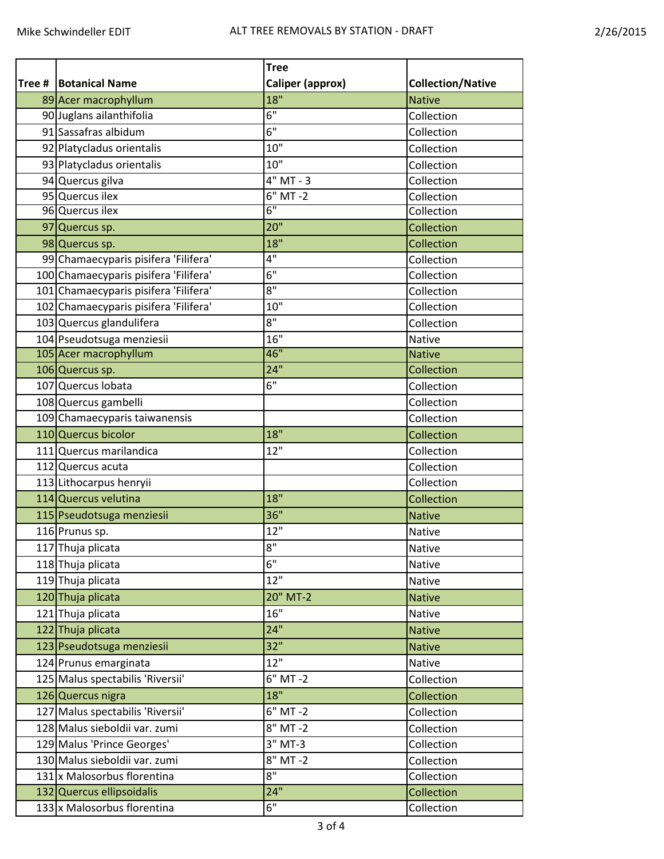|        |                                       | <b>Tree</b>             |                          |
|--------|---------------------------------------|-------------------------|--------------------------|
| Tree # | <b>Botanical Name</b>                 | <b>Caliper (approx)</b> | <b>Collection/Native</b> |
|        | 89 Acer macrophyllum                  | 18"                     | <b>Native</b>            |
|        | 90 Juglans ailanthifolia              | 6"                      | Collection               |
|        | 91 Sassafras albidum                  | 6"                      | Collection               |
|        | 92 Platycladus orientalis             | 10"                     | Collection               |
|        | 93 Platycladus orientalis             | 10"                     | Collection               |
|        | 94 Quercus gilva                      | $4"$ MT - 3             | Collection               |
|        | 95 Quercus ilex                       | $6"$ MT -2              | Collection               |
|        | 96 Quercus ilex                       | 6"                      | Collection               |
|        | 97 Quercus sp.                        | 20"                     | Collection               |
|        | 98 Quercus sp.                        | 18"                     | Collection               |
|        | 99 Chamaecyparis pisifera 'Filifera'  | 4"                      | Collection               |
|        | 100 Chamaecyparis pisifera 'Filifera' | 6"                      | Collection               |
|        | 101 Chamaecyparis pisifera 'Filifera' | $8^{\overline{1}}$      | Collection               |
|        | 102 Chamaecyparis pisifera 'Filifera' | 10"                     | Collection               |
|        | 103 Quercus glandulifera              | 8"                      | Collection               |
|        | 104 Pseudotsuga menziesii             | 16"                     | Native                   |
|        | 105 Acer macrophyllum                 | 46"                     | <b>Native</b>            |
|        | 106 Quercus sp.                       | 24"                     | Collection               |
|        | 107 Quercus Iobata                    | 6"                      | Collection               |
|        | 108 Quercus gambelli                  |                         | Collection               |
|        | 109 Chamaecyparis taiwanensis         |                         | Collection               |
|        | 110 Quercus bicolor                   | 18"                     | Collection               |
|        | 111 Quercus marilandica               | 12"                     | Collection               |
|        | 112 Quercus acuta                     |                         | Collection               |
|        | 113 Lithocarpus henryii               |                         | Collection               |
|        | 114 Quercus velutina                  | 18"                     | Collection               |
|        | 115 Pseudotsuga menziesii             | 36"                     | <b>Native</b>            |
|        | 116 Prunus sp.                        | 12"                     | Native                   |
|        | 117 Thuja plicata                     | $8^{\circ}$             | Native                   |
|        | 118 Thuja plicata                     | 6"                      | Native                   |
|        | 119 Thuja plicata                     | 12"                     | Native                   |
|        | 120 Thuja plicata                     | 20" MT-2                | <b>Native</b>            |
|        | 121 Thuja plicata                     | 16"                     | Native                   |
|        | 122 Thuja plicata                     | 24"                     | <b>Native</b>            |
|        | 123 Pseudotsuga menziesii             | 32"                     | <b>Native</b>            |
|        | 124 Prunus emarginata                 | 12"                     | Native                   |
|        | 125 Malus spectabilis 'Riversii'      | $6"$ MT -2              | Collection               |
|        | 126 Quercus nigra                     | 18"                     | Collection               |
|        | 127 Malus spectabilis 'Riversii'      | 6" MT-2                 | Collection               |
|        | 128 Malus sieboldii var. zumi         | $\overline{8}$ " MT -2  | Collection               |
|        | 129 Malus 'Prince Georges'            | $3"$ MT-3               | Collection               |
|        | 130 Malus sieboldii var. zumi         | $\overline{8}$ " MT -2  | Collection               |
|        | 131 x Malosorbus florentina           | 8"                      | Collection               |
|        | 132 Quercus ellipsoidalis             | 24"                     | Collection               |
|        | 133 x Malosorbus florentina           | 6"                      | Collection               |